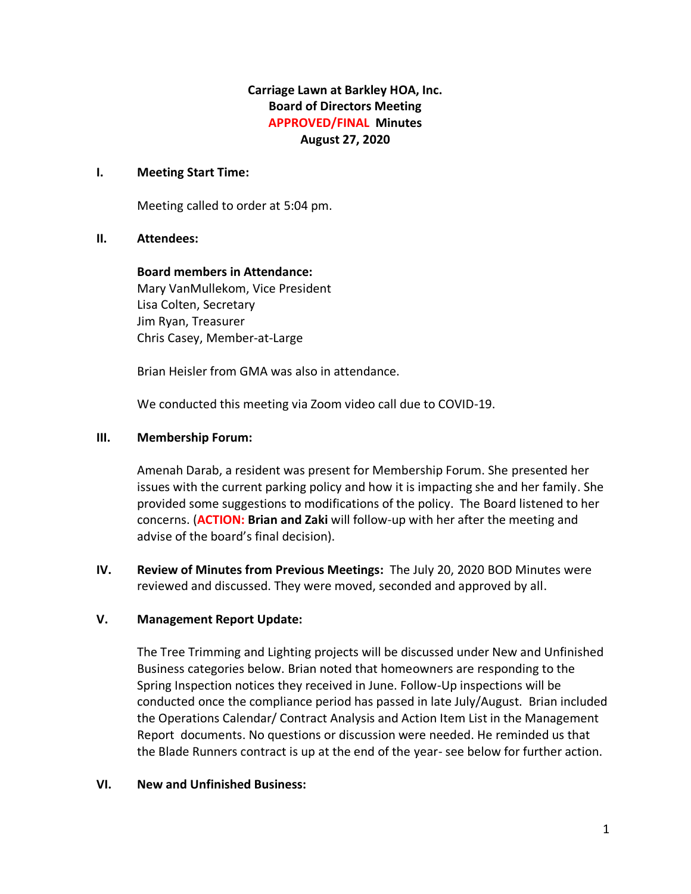# **Carriage Lawn at Barkley HOA, Inc. Board of Directors Meeting APPROVED/FINAL Minutes August 27, 2020**

### **I. Meeting Start Time:**

Meeting called to order at 5:04 pm.

## **II. Attendees:**

**Board members in Attendance:** Mary VanMullekom, Vice President Lisa Colten, Secretary Jim Ryan, Treasurer Chris Casey, Member-at-Large

Brian Heisler from GMA was also in attendance.

We conducted this meeting via Zoom video call due to COVID-19.

#### **III. Membership Forum:**

Amenah Darab, a resident was present for Membership Forum. She presented her issues with the current parking policy and how it is impacting she and her family. She provided some suggestions to modifications of the policy. The Board listened to her concerns. (**ACTION: Brian and Zaki** will follow-up with her after the meeting and advise of the board's final decision).

**IV. Review of Minutes from Previous Meetings:** The July 20, 2020 BOD Minutes were reviewed and discussed. They were moved, seconded and approved by all.

## **V. Management Report Update:**

The Tree Trimming and Lighting projects will be discussed under New and Unfinished Business categories below. Brian noted that homeowners are responding to the Spring Inspection notices they received in June. Follow-Up inspections will be conducted once the compliance period has passed in late July/August. Brian included the Operations Calendar/ Contract Analysis and Action Item List in the Management Report documents. No questions or discussion were needed. He reminded us that the Blade Runners contract is up at the end of the year- see below for further action.

## **VI. New and Unfinished Business:**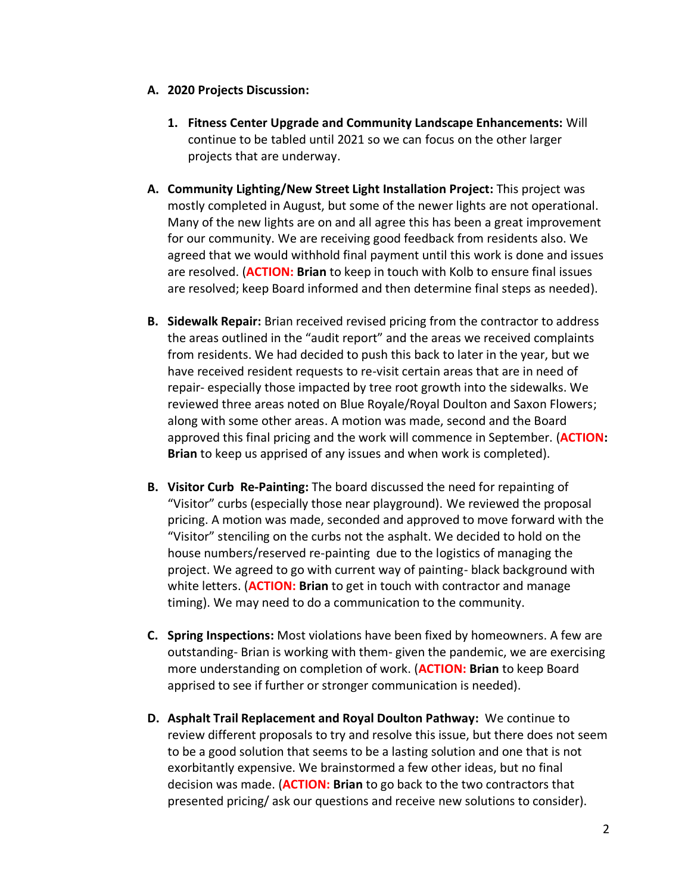- **A. 2020 Projects Discussion:**
	- **1. Fitness Center Upgrade and Community Landscape Enhancements:** Will continue to be tabled until 2021 so we can focus on the other larger projects that are underway.
- **A. Community Lighting/New Street Light Installation Project:** This project was mostly completed in August, but some of the newer lights are not operational. Many of the new lights are on and all agree this has been a great improvement for our community. We are receiving good feedback from residents also. We agreed that we would withhold final payment until this work is done and issues are resolved. (**ACTION: Brian** to keep in touch with Kolb to ensure final issues are resolved; keep Board informed and then determine final steps as needed).
- **B. Sidewalk Repair:** Brian received revised pricing from the contractor to address the areas outlined in the "audit report" and the areas we received complaints from residents. We had decided to push this back to later in the year, but we have received resident requests to re-visit certain areas that are in need of repair- especially those impacted by tree root growth into the sidewalks. We reviewed three areas noted on Blue Royale/Royal Doulton and Saxon Flowers; along with some other areas. A motion was made, second and the Board approved this final pricing and the work will commence in September. (**ACTION: Brian** to keep us apprised of any issues and when work is completed).
- **B. Visitor Curb Re-Painting:** The board discussed the need for repainting of "Visitor" curbs (especially those near playground). We reviewed the proposal pricing. A motion was made, seconded and approved to move forward with the "Visitor" stenciling on the curbs not the asphalt. We decided to hold on the house numbers/reserved re-painting due to the logistics of managing the project. We agreed to go with current way of painting- black background with white letters. (**ACTION: Brian** to get in touch with contractor and manage timing). We may need to do a communication to the community.
- **C. Spring Inspections:** Most violations have been fixed by homeowners. A few are outstanding- Brian is working with them- given the pandemic, we are exercising more understanding on completion of work. (**ACTION: Brian** to keep Board apprised to see if further or stronger communication is needed).
- **D. Asphalt Trail Replacement and Royal Doulton Pathway:** We continue to review different proposals to try and resolve this issue, but there does not seem to be a good solution that seems to be a lasting solution and one that is not exorbitantly expensive. We brainstormed a few other ideas, but no final decision was made. (**ACTION: Brian** to go back to the two contractors that presented pricing/ ask our questions and receive new solutions to consider).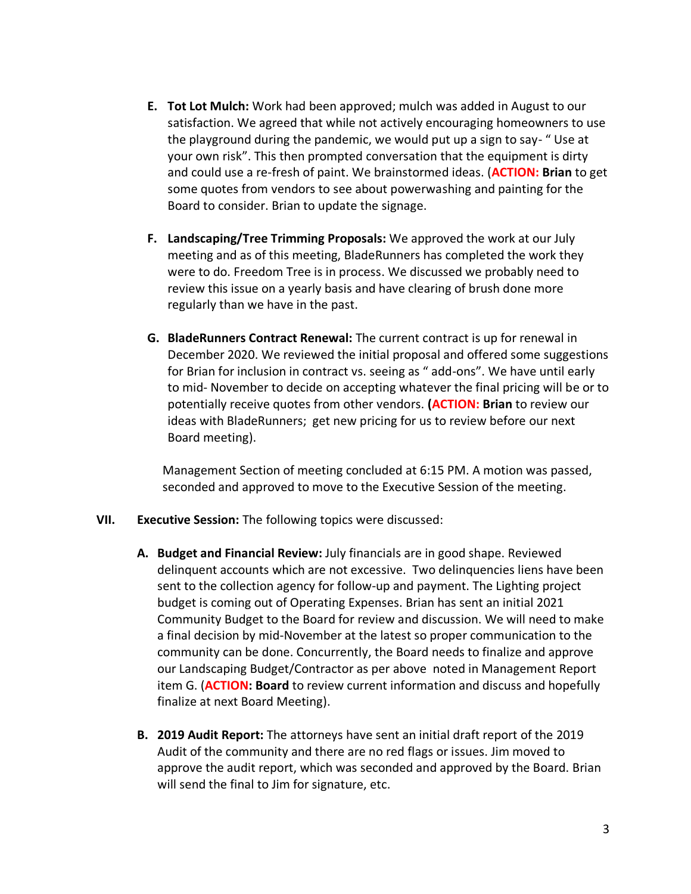- **E. Tot Lot Mulch:** Work had been approved; mulch was added in August to our satisfaction. We agreed that while not actively encouraging homeowners to use the playground during the pandemic, we would put up a sign to say- " Use at your own risk". This then prompted conversation that the equipment is dirty and could use a re-fresh of paint. We brainstormed ideas. (**ACTION: Brian** to get some quotes from vendors to see about powerwashing and painting for the Board to consider. Brian to update the signage.
- **F. Landscaping/Tree Trimming Proposals:** We approved the work at our July meeting and as of this meeting, BladeRunners has completed the work they were to do. Freedom Tree is in process. We discussed we probably need to review this issue on a yearly basis and have clearing of brush done more regularly than we have in the past.
- **G. BladeRunners Contract Renewal:** The current contract is up for renewal in December 2020. We reviewed the initial proposal and offered some suggestions for Brian for inclusion in contract vs. seeing as " add-ons". We have until early to mid- November to decide on accepting whatever the final pricing will be or to potentially receive quotes from other vendors. **(ACTION: Brian** to review our ideas with BladeRunners; get new pricing for us to review before our next Board meeting).

Management Section of meeting concluded at 6:15 PM. A motion was passed, seconded and approved to move to the Executive Session of the meeting.

- **VII. Executive Session:** The following topics were discussed:
	- **A. Budget and Financial Review:** July financials are in good shape. Reviewed delinquent accounts which are not excessive. Two delinquencies liens have been sent to the collection agency for follow-up and payment. The Lighting project budget is coming out of Operating Expenses. Brian has sent an initial 2021 Community Budget to the Board for review and discussion. We will need to make a final decision by mid-November at the latest so proper communication to the community can be done. Concurrently, the Board needs to finalize and approve our Landscaping Budget/Contractor as per above noted in Management Report item G. (**ACTION: Board** to review current information and discuss and hopefully finalize at next Board Meeting).
	- **B. 2019 Audit Report:** The attorneys have sent an initial draft report of the 2019 Audit of the community and there are no red flags or issues. Jim moved to approve the audit report, which was seconded and approved by the Board. Brian will send the final to Jim for signature, etc.